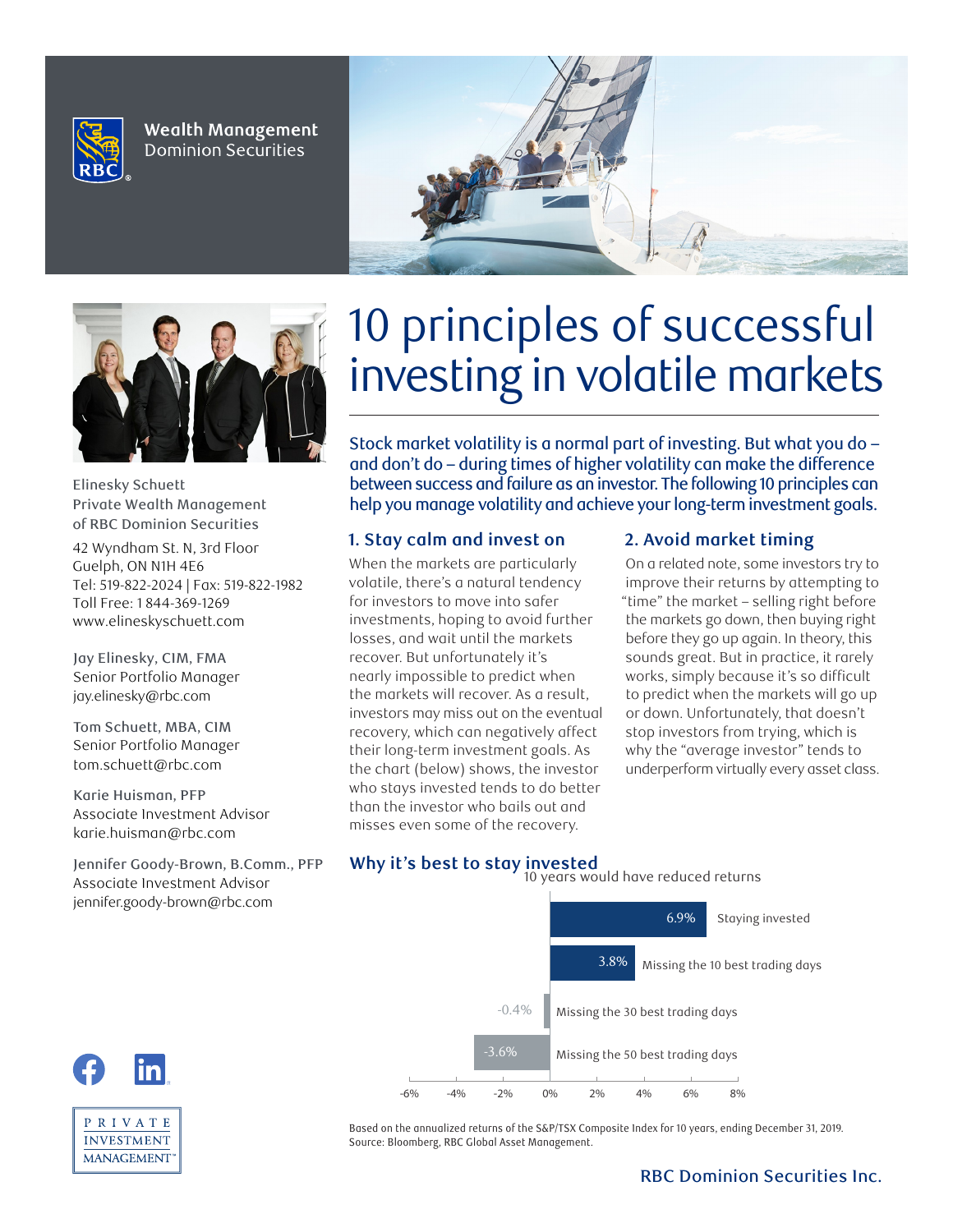

**Wealth Management Dominion Securities** 





Elinesky Schuett Private Wealth Management of RBC Dominion Securities

42 Wyndham St. N, 3rd Floor Guelph, ON N1H 4E6 Tel: 519-822-2024 | Fax: 519-822-1982 Toll Free: 1 844-369-1269 www.elineskyschuett.com

**Jay Elinesky, CIM, FMA Senior Portfolio Manager jay.elinesky@rbc.com**

**Tom Schuett, MBA, CIM Senior Portfolio Manager tom.schuett@rbc.com**

**https://www.facebook.com/elineskyschuett https://www.facebook.com/elineskyschuett https://www.facebook.com/elineskyschuett https://www.facebook.com/elineskyschuett https://www.facebook.com/elineskyschuett https://www.facebook.com/elineskyschuett https://www.facebook.com/elineskyschuett https://www.facebook.com/elineskyschuett https://www.facebook.com/elineskyschuett https://www.facebook.com/elineskyschuett https://www.facebook.com/elineskyschuett**

> P R I V A T E **INVESTMENT MANAGEMENT**

**Karie Huisman, PFP Associate Investment Advisor karie.huisman@rbc.com**

**Jennifer Goody-Brown, B.Comm., PFP Associate Investment Advisor jennifer.goody-brown@rbc.com**

# 10 principles of successful investing in volatile markets

Stock market volatility is a normal part of investing. But what you do – and don't do – during times of higher volatility can make the difference between success and failure as an investor. The following 10 principles can help you manage volatility and achieve your long-term investment goals.

## **1. Stay calm and invest on**

When the markets are particularly volatile, there's a natural tendency for investors to move into safer investments, hoping to avoid further losses, and wait until the markets recover. But unfortunately it's nearly impossible to predict when the markets will recover. As a result, investors may miss out on the eventual recovery, which can negatively affect their long-term investment goals. As the chart (below) shows, the investor who stays invested tends to do better than the investor who bails out and misses even some of the recovery.

## **2. Avoid market timing**

On a related note, some investors try to improve their returns by attempting to "time" the market – selling right before the markets go down, then buying right before they go up again. In theory, this sounds great. But in practice, it rarely works, simply because it's so difficult to predict when the markets will go up or down. Unfortunately, that doesn't stop investors from trying, which is why the "average investor" tends to underperform virtually every asset class.

## **Why it's best to stay invested**



Based on the annualized returns of the S&P/TSX Composite Index for 10 years, ending December 31, 2019. Source: Bloomberg, RBC Global Asset Management.

#### RBC Dominion Securities Inc.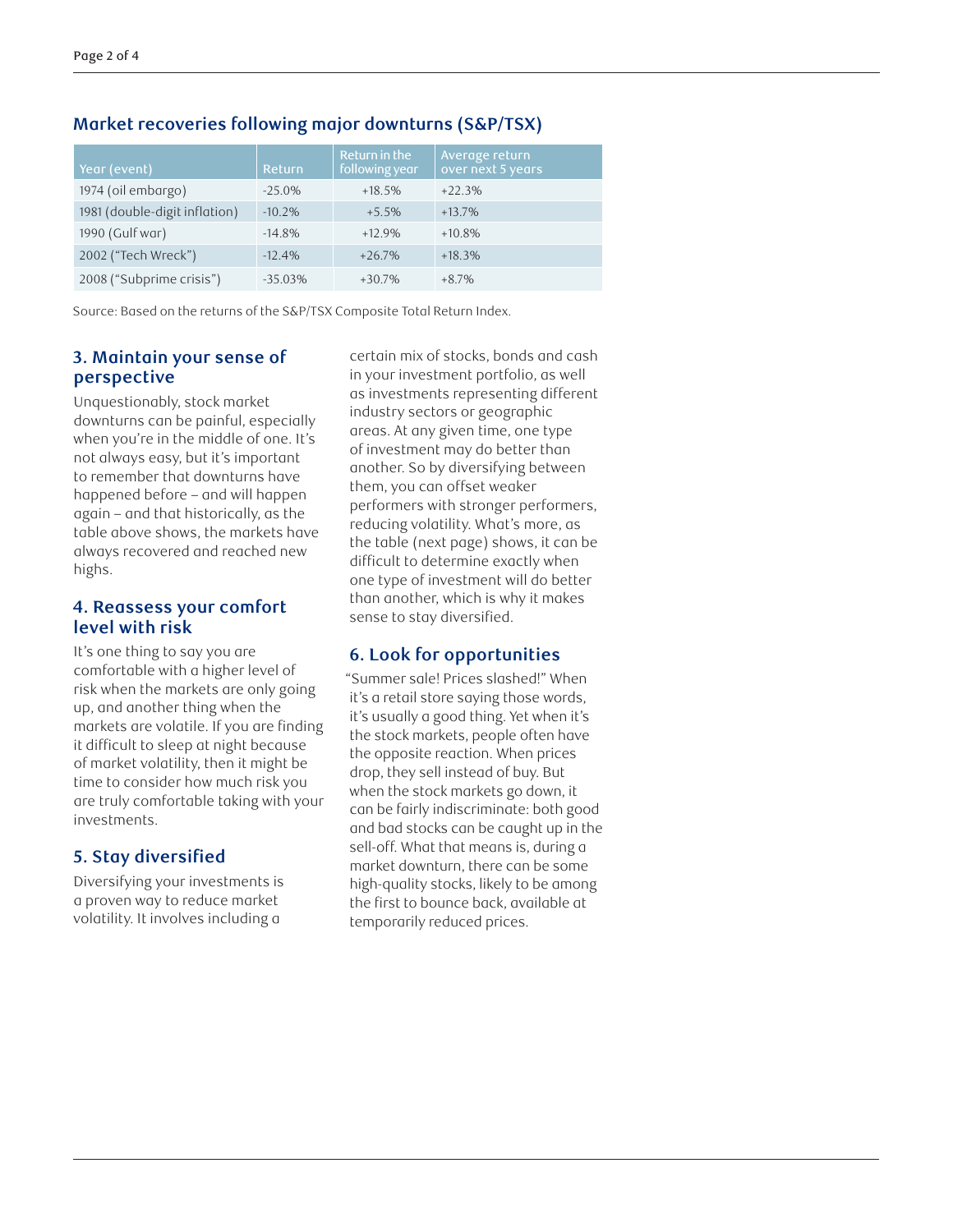| Year (event)                  | <b>Return</b> | Return in the<br>following year | Average return<br>over next 5 years |
|-------------------------------|---------------|---------------------------------|-------------------------------------|
| 1974 (oil embargo)            | $-25.0\%$     | $+18.5%$                        | $+22.3%$                            |
| 1981 (double-digit inflation) | $-10.2%$      | $+5.5%$                         | $+13.7%$                            |
| 1990 (Gulf war)               | $-14.8%$      | $+12.9%$                        | $+10.8\%$                           |
| 2002 ("Tech Wreck")           | $-12.4%$      | $+26.7%$                        | $+18.3%$                            |
| 2008 ("Subprime crisis")      | $-3503%$      | $+30.7%$                        | $+8.7\%$                            |

#### **Market recoveries following major downturns (S&P/TSX)**

Source: Based on the returns of the S&P/TSX Composite Total Return Index.

#### **3. Maintain your sense of perspective**

Unquestionably, stock market downturns can be painful, especially when you're in the middle of one. It's not always easy, but it's important to remember that downturns have happened before – and will happen again – and that historically, as the table above shows, the markets have always recovered and reached new highs.

#### **4. Reassess your comfort level with risk**

It's one thing to say you are comfortable with a higher level of risk when the markets are only going up, and another thing when the markets are volatile. If you are finding it difficult to sleep at night because of market volatility, then it might be time to consider how much risk you are truly comfortable taking with your investments.

## **5. Stay diversified**

Diversifying your investments is a proven way to reduce market volatility. It involves including a

certain mix of stocks, bonds and cash in your investment portfolio, as well as investments representing different industry sectors or geographic areas. At any given time, one type of investment may do better than another. So by diversifying between them, you can offset weaker performers with stronger performers, reducing volatility. What's more, as the table (next page) shows, it can be difficult to determine exactly when one type of investment will do better than another, which is why it makes sense to stay diversified.

## **6. Look for opportunities**

"Summer sale! Prices slashed!" When it's a retail store saying those words, it's usually a good thing. Yet when it's the stock markets, people often have the opposite reaction. When prices drop, they sell instead of buy. But when the stock markets go down, it can be fairly indiscriminate: both good and bad stocks can be caught up in the sell-off. What that means is, during a market downturn, there can be some high-quality stocks, likely to be among the first to bounce back, available at temporarily reduced prices.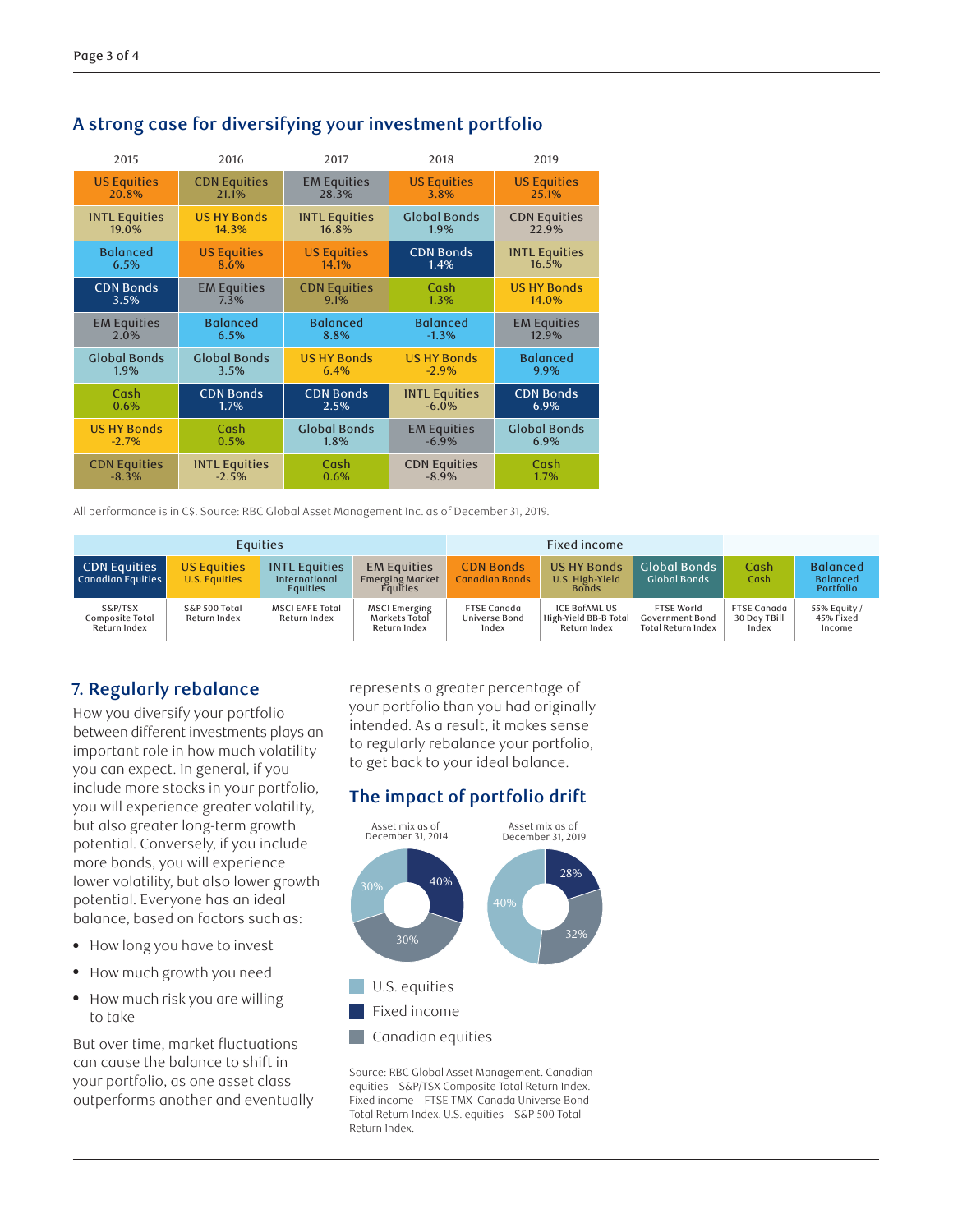| 2015                 | 2016                 | 2017                 | 2018                 | 2019                 |
|----------------------|----------------------|----------------------|----------------------|----------------------|
| <b>US Equities</b>   | <b>CDN Equities</b>  | <b>EM Equities</b>   | <b>US Equities</b>   | <b>US Equities</b>   |
| 20.8%                | 21.1%                | 28.3%                | 3.8%                 | 25.1%                |
| <b>INTL Equities</b> | <b>US HY Bonds</b>   | <b>INTL Equities</b> | <b>Global Bonds</b>  | <b>CDN Equities</b>  |
| 19.0%                | 14.3%                | 16.8%                | 1.9%                 | 22.9%                |
| <b>Balanced</b>      | <b>US Equities</b>   | <b>US Equities</b>   | <b>CDN Bonds</b>     | <b>INTL Equities</b> |
| 6.5%                 | 8.6%                 | 14.1%                | 1.4%                 | 16.5%                |
| <b>CDN Bonds</b>     | <b>EM Equities</b>   | <b>CDN Equities</b>  | Cash                 | <b>US HY Bonds</b>   |
| 3.5%                 | 7.3%                 | 9.1%                 | 1.3%                 | 14.0%                |
| <b>EM Equities</b>   | <b>Balanced</b>      | <b>Balanced</b>      | <b>Balanced</b>      | <b>EM Equities</b>   |
| 2.0%                 | 6.5%                 | 8.8%                 | $-1.3%$              | 12.9%                |
| <b>Global Bonds</b>  | <b>Global Bonds</b>  | <b>US HY Bonds</b>   | <b>US HY Bonds</b>   | <b>Balanced</b>      |
| 1.9%                 | 3.5%                 | 6.4%                 | $-2.9%$              | 9.9%                 |
| Cash                 | <b>CDN Bonds</b>     | <b>CDN Bonds</b>     | <b>INTL Equities</b> | <b>CDN</b> Bonds     |
| 0.6%                 | $1.7\%$              | 2.5%                 | $-6.0\%$             | 6.9%                 |
| <b>US HY Bonds</b>   | Cash                 | <b>Global Bonds</b>  | <b>EM Equities</b>   | <b>Global Bonds</b>  |
| $-2.7%$              | 0.5%                 | 1.8%                 | $-6.9\%$             | 6.9%                 |
| <b>CDN Equities</b>  | <b>INTL Equities</b> | Cash                 | <b>CDN Equities</b>  | Cash                 |
| $-8.3%$              | $-2.5%$              | 0.6%                 | $-8.9%$              | 1.7%                 |

## **A strong case for diversifying your investment portfolio**

All performance is in C\$. Source: RBC Global Asset Management Inc. as of December 31, 2019.

| <b>Equities</b>                            |                                     |                                                          | Fixed income                                             |                                              |                                                               |                                                                          |                                             |                                                 |
|--------------------------------------------|-------------------------------------|----------------------------------------------------------|----------------------------------------------------------|----------------------------------------------|---------------------------------------------------------------|--------------------------------------------------------------------------|---------------------------------------------|-------------------------------------------------|
| <b>CDN Equities</b><br>Canadian Equities   | <b>US Equities</b><br>U.S. Equities | <b>INTL Equities</b><br>International<br><b>Equities</b> | <b>EM Equities</b><br><b>Emerging Market</b><br>Equities | <b>CDN Bonds</b><br>Canadian Bonds           | <b>US HY Bonds</b><br>U.S. High-Yield<br><b>Bonds</b>         | <b>Global Bonds</b><br><b>Global Bonds</b>                               | Cash<br>Cash                                | <b>Balanced</b><br><b>Balanced</b><br>Portfolio |
| S&P/TSX<br>Composite Total<br>Return Index | S&P 500 Total<br>Return Index       | <b>MSCI EAFE Total</b><br>Return Index                   | <b>MSCI Emerging</b><br>Markets Total<br>Return Index    | <b>FTSE Canada</b><br>Universe Bond<br>Index | <b>ICE BOFAML US</b><br>High-Yield BB-B Total<br>Return Index | <b>FTSE World</b><br><b>Government Bond</b><br><b>Total Return Index</b> | <b>FTSE Canada</b><br>30 Day TBill<br>Index | 55% Equity /<br>45% Fixed<br>Income             |

## **7. Regularly rebalance**

How you diversify your portfolio between different investments plays an important role in how much volatility you can expect. In general, if you include more stocks in your portfolio, you will experience greater volatility, but also greater long-term growth potential. Conversely, if you include more bonds, you will experience lower volatility, but also lower growth potential. Everyone has an ideal balance, based on factors such as:

- How long you have to invest
- How much growth you need
- How much risk you are willing to take

But over time, market fluctuations can cause the balance to shift in your portfolio, as one asset class outperforms another and eventually

represents a greater percentage of your portfolio than you had originally intended. As a result, it makes sense to regularly rebalance your portfolio, to get back to your ideal balance.

## **The impact of portfolio drift**



Source: RBC Global Asset Management. Canadian equities – S&P/TSX Composite Total Return Index. Fixed income – FTSE TMX Canada Universe Bond Total Return Index. U.S. equities – S&P 500 Total Return Index.